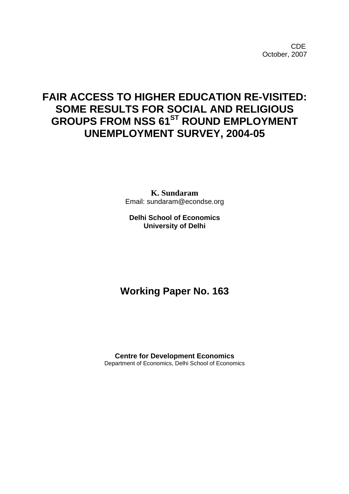**CDE COLLECTION** October, 2007

# **FAIR ACCESS TO HIGHER EDUCATION RE-VISITED: SOME RESULTS FOR SOCIAL AND RELIGIOUS GROUPS FROM NSS 61ST ROUND EMPLOYMENT UNEMPLOYMENT SURVEY, 2004-05**

**K. Sundaram**  Email: sundaram@econdse.org

**Delhi School of Economics University of Delhi** 

# **Working Paper No. 163**

**Centre for Development Economics**  Department of Economics, Delhi School of Economics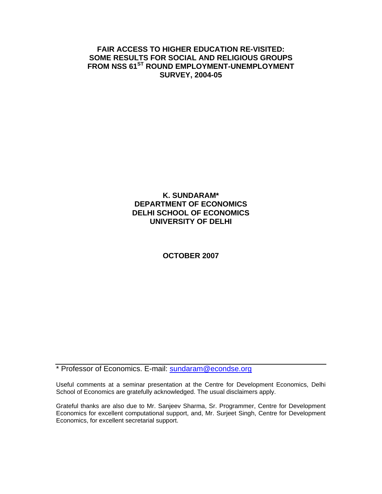### **FAIR ACCESS TO HIGHER EDUCATION RE-VISITED: SOME RESULTS FOR SOCIAL AND RELIGIOUS GROUPS**  FROM NSS 61<sup>ST</sup> ROUND EMPLOYMENT-UNEMPLOYMENT **SURVEY, 2004-05**

### **K. SUNDARAM\* DEPARTMENT OF ECONOMICS DELHI SCHOOL OF ECONOMICS UNIVERSITY OF DELHI**

#### **OCTOBER 2007**

\* Professor of Economics. E-mail: [sundaram@econdse.org](mailto:sundaram@econdse.org) 

Useful comments at a seminar presentation at the Centre for Development Economics, Delhi School of Economics are gratefully acknowledged. The usual disclaimers apply.

Grateful thanks are also due to Mr. Sanjeev Sharma, Sr. Programmer, Centre for Development Economics for excellent computational support, and, Mr. Surjeet Singh, Centre for Development Economics, for excellent secretarial support.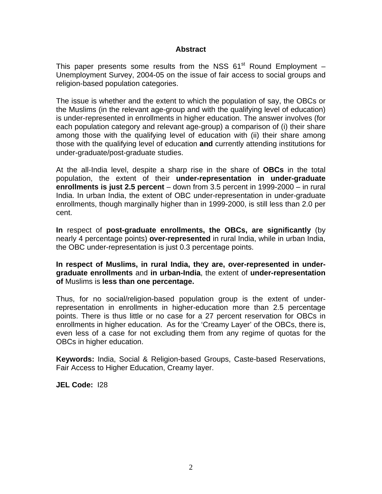### **Abstract**

This paper presents some results from the NSS  $61<sup>st</sup>$  Round Employment – Unemployment Survey, 2004-05 on the issue of fair access to social groups and religion-based population categories.

The issue is whether and the extent to which the population of say, the OBCs or the Muslims (in the relevant age-group and with the qualifying level of education) is under-represented in enrollments in higher education. The answer involves (for each population category and relevant age-group) a comparison of (i) their share among those with the qualifying level of education with (ii) their share among those with the qualifying level of education **and** currently attending institutions for under-graduate/post-graduate studies.

At the all-India level, despite a sharp rise in the share of **OBCs** in the total population, the extent of their **under-representation in under-graduate enrollments is just 2.5 percent** – down from 3.5 percent in 1999-2000 – in rural India. In urban India, the extent of OBC under-representation in under-graduate enrollments, though marginally higher than in 1999-2000, is still less than 2.0 per cent.

**In** respect of **post-graduate enrollments, the OBCs, are significantly** (by nearly 4 percentage points) **over-represented** in rural India, while in urban India, the OBC under-representation is just 0.3 percentage points.

**In respect of Muslims, in rural India, they are, over-represented in undergraduate enrollments** and **in urban-India**, the extent of **under-representation of** Muslims is **less than one percentage.** 

Thus, for no social/religion-based population group is the extent of underrepresentation in enrollments in higher-education more than 2.5 percentage points. There is thus little or no case for a 27 percent reservation for OBCs in enrollments in higher education. As for the 'Creamy Layer' of the OBCs, there is, even less of a case for not excluding them from any regime of quotas for the OBCs in higher education.

**Keywords:** India, Social & Religion-based Groups, Caste-based Reservations, Fair Access to Higher Education, Creamy layer.

**JEL Code:** I28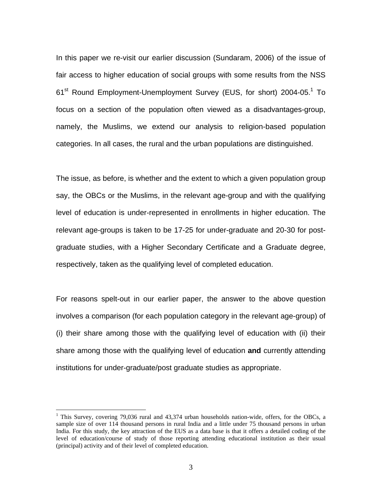In this paper we re-visit our earlier discussion (Sundaram, 2006) of the issue of fair access to higher education of social groups with some results from the NSS 6[1](#page-3-0)<sup>st</sup> Round Employment-Unemployment Survey (EUS, for short) 2004-05.<sup>1</sup> To focus on a section of the population often viewed as a disadvantages-group, namely, the Muslims, we extend our analysis to religion-based population categories. In all cases, the rural and the urban populations are distinguished.

The issue, as before, is whether and the extent to which a given population group say, the OBCs or the Muslims, in the relevant age-group and with the qualifying level of education is under-represented in enrollments in higher education. The relevant age-groups is taken to be 17-25 for under-graduate and 20-30 for postgraduate studies, with a Higher Secondary Certificate and a Graduate degree, respectively, taken as the qualifying level of completed education.

For reasons spelt-out in our earlier paper, the answer to the above question involves a comparison (for each population category in the relevant age-group) of (i) their share among those with the qualifying level of education with (ii) their share among those with the qualifying level of education **and** currently attending institutions for under-graduate/post graduate studies as appropriate.

<span id="page-3-0"></span><sup>&</sup>lt;sup>1</sup> This Survey, covering 79,036 rural and 43,374 urban households nation-wide, offers, for the OBCs, a sample size of over 114 thousand persons in rural India and a little under 75 thousand persons in urban India. For this study, the key attraction of the EUS as a data base is that it offers a detailed coding of the level of education/course of study of those reporting attending educational institution as their usual (principal) activity and of their level of completed education.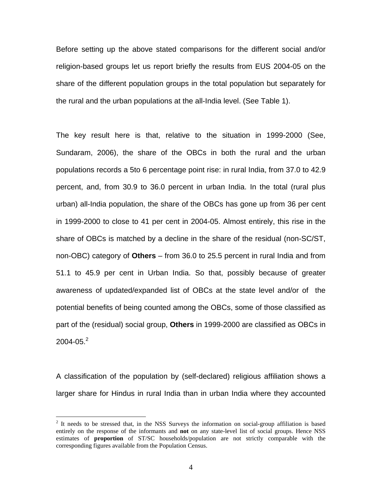Before setting up the above stated comparisons for the different social and/or religion-based groups let us report briefly the results from EUS 2004-05 on the share of the different population groups in the total population but separately for the rural and the urban populations at the all-India level. (See Table 1).

The key result here is that, relative to the situation in 1999-2000 (See, Sundaram, 2006), the share of the OBCs in both the rural and the urban populations records a 5to 6 percentage point rise: in rural India, from 37.0 to 42.9 percent, and, from 30.9 to 36.0 percent in urban India. In the total (rural plus urban) all-India population, the share of the OBCs has gone up from 36 per cent in 1999-2000 to close to 41 per cent in 2004-05. Almost entirely, this rise in the share of OBCs is matched by a decline in the share of the residual (non-SC/ST, non-OBC) category of **Others** – from 36.0 to 25.5 percent in rural India and from 51.1 to 45.9 per cent in Urban India. So that, possibly because of greater awareness of updated/expanded list of OBCs at the state level and/or of the potential benefits of being counted among the OBCs, some of those classified as part of the (residual) social group, **Others** in 1999-2000 are classified as OBCs in  $2004 - 05.<sup>2</sup>$  $2004 - 05.<sup>2</sup>$ 

A classification of the population by (self-declared) religious affiliation shows a larger share for Hindus in rural India than in urban India where they accounted

 $\overline{a}$ 

<span id="page-4-0"></span> $2$  It needs to be stressed that, in the NSS Surveys the information on social-group affiliation is based entirely on the response of the informants and **not** on any state-level list of social groups. Hence NSS estimates of **proportion** of ST/SC households/population are not strictly comparable with the corresponding figures available from the Population Census.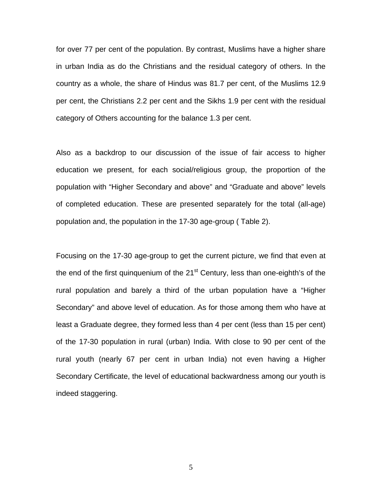for over 77 per cent of the population. By contrast, Muslims have a higher share in urban India as do the Christians and the residual category of others. In the country as a whole, the share of Hindus was 81.7 per cent, of the Muslims 12.9 per cent, the Christians 2.2 per cent and the Sikhs 1.9 per cent with the residual category of Others accounting for the balance 1.3 per cent.

Also as a backdrop to our discussion of the issue of fair access to higher education we present, for each social/religious group, the proportion of the population with "Higher Secondary and above" and "Graduate and above" levels of completed education. These are presented separately for the total (all-age) population and, the population in the 17-30 age-group ( Table 2).

Focusing on the 17-30 age-group to get the current picture, we find that even at the end of the first quinquenium of the  $21<sup>st</sup>$  Century, less than one-eighth's of the rural population and barely a third of the urban population have a "Higher Secondary" and above level of education. As for those among them who have at least a Graduate degree, they formed less than 4 per cent (less than 15 per cent) of the 17-30 population in rural (urban) India. With close to 90 per cent of the rural youth (nearly 67 per cent in urban India) not even having a Higher Secondary Certificate, the level of educational backwardness among our youth is indeed staggering.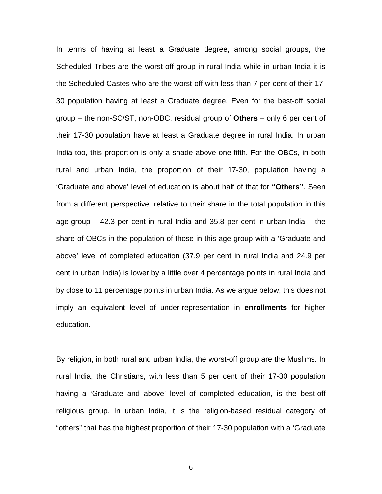In terms of having at least a Graduate degree, among social groups, the Scheduled Tribes are the worst-off group in rural India while in urban India it is the Scheduled Castes who are the worst-off with less than 7 per cent of their 17- 30 population having at least a Graduate degree. Even for the best-off social group – the non-SC/ST, non-OBC, residual group of **Others** – only 6 per cent of their 17-30 population have at least a Graduate degree in rural India. In urban India too, this proportion is only a shade above one-fifth. For the OBCs, in both rural and urban India, the proportion of their 17-30, population having a 'Graduate and above' level of education is about half of that for **"Others"**. Seen from a different perspective, relative to their share in the total population in this age-group – 42.3 per cent in rural India and 35.8 per cent in urban India – the share of OBCs in the population of those in this age-group with a 'Graduate and above' level of completed education (37.9 per cent in rural India and 24.9 per cent in urban India) is lower by a little over 4 percentage points in rural India and by close to 11 percentage points in urban India. As we argue below, this does not imply an equivalent level of under-representation in **enrollments** for higher education.

By religion, in both rural and urban India, the worst-off group are the Muslims. In rural India, the Christians, with less than 5 per cent of their 17-30 population having a 'Graduate and above' level of completed education, is the best-off religious group. In urban India, it is the religion-based residual category of "others" that has the highest proportion of their 17-30 population with a 'Graduate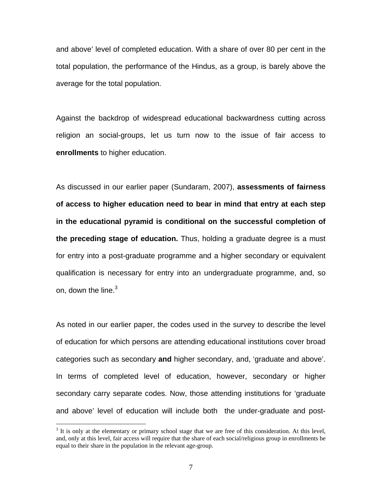and above' level of completed education. With a share of over 80 per cent in the total population, the performance of the Hindus, as a group, is barely above the average for the total population.

Against the backdrop of widespread educational backwardness cutting across religion an social-groups, let us turn now to the issue of fair access to **enrollments** to higher education.

As discussed in our earlier paper (Sundaram, 2007), **assessments of fairness of access to higher education need to bear in mind that entry at each step in the educational pyramid is conditional on the successful completion of the preceding stage of education.** Thus, holding a graduate degree is a must for entry into a post-graduate programme and a higher secondary or equivalent qualification is necessary for entry into an undergraduate programme, and, so on, down the line. $3$ 

As noted in our earlier paper, the codes used in the survey to describe the level of education for which persons are attending educational institutions cover broad categories such as secondary **and** higher secondary, and, 'graduate and above'. In terms of completed level of education, however, secondary or higher secondary carry separate codes. Now, those attending institutions for 'graduate and above' level of education will include both the under-graduate and post-

<span id="page-7-0"></span> $3$  It is only at the elementary or primary school stage that we are free of this consideration. At this level, and, only at this level, fair access will require that the share of each social/religious group in enrollments be equal to their share in the population in the relevant age-group.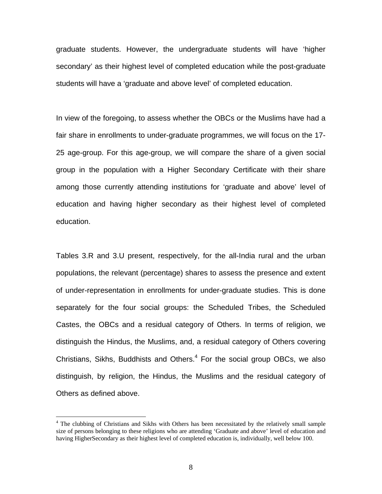graduate students. However, the undergraduate students will have 'higher secondary' as their highest level of completed education while the post-graduate students will have a 'graduate and above level' of completed education.

In view of the foregoing, to assess whether the OBCs or the Muslims have had a fair share in enrollments to under-graduate programmes, we will focus on the 17- 25 age-group. For this age-group, we will compare the share of a given social group in the population with a Higher Secondary Certificate with their share among those currently attending institutions for 'graduate and above' level of education and having higher secondary as their highest level of completed education.

Tables 3.R and 3.U present, respectively, for the all-India rural and the urban populations, the relevant (percentage) shares to assess the presence and extent of under-representation in enrollments for under-graduate studies. This is done separately for the four social groups: the Scheduled Tribes, the Scheduled Castes, the OBCs and a residual category of Others. In terms of religion, we distinguish the Hindus, the Muslims, and, a residual category of Others covering Christians, Sikhs, Buddhists and Others.<sup>[4](#page-8-0)</sup> For the social group OBCs, we also distinguish, by religion, the Hindus, the Muslims and the residual category of Others as defined above.

<u>.</u>

<span id="page-8-0"></span><sup>&</sup>lt;sup>4</sup> The clubbing of Christians and Sikhs with Others has been necessitated by the relatively small sample size of persons belonging to these religions who are attending 'Graduate and above' level of education and having HigherSecondary as their highest level of completed education is, individually, well below 100.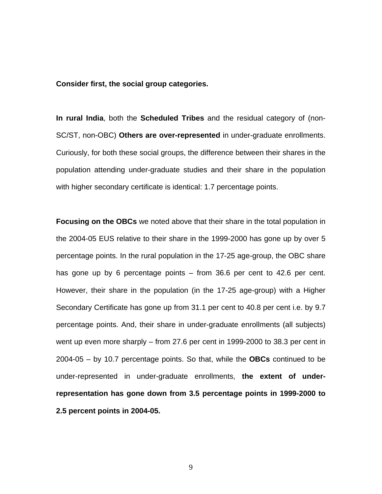**Consider first, the social group categories.** 

**In rural India**, both the **Scheduled Tribes** and the residual category of (non-SC/ST, non-OBC) **Others are over-represented** in under-graduate enrollments. Curiously, for both these social groups, the difference between their shares in the population attending under-graduate studies and their share in the population with higher secondary certificate is identical: 1.7 percentage points.

**Focusing on the OBCs** we noted above that their share in the total population in the 2004-05 EUS relative to their share in the 1999-2000 has gone up by over 5 percentage points. In the rural population in the 17-25 age-group, the OBC share has gone up by 6 percentage points – from 36.6 per cent to 42.6 per cent. However, their share in the population (in the 17-25 age-group) with a Higher Secondary Certificate has gone up from 31.1 per cent to 40.8 per cent i.e. by 9.7 percentage points. And, their share in under-graduate enrollments (all subjects) went up even more sharply – from 27.6 per cent in 1999-2000 to 38.3 per cent in 2004-05 – by 10.7 percentage points. So that, while the **OBCs** continued to be under-represented in under-graduate enrollments, **the extent of underrepresentation has gone down from 3.5 percentage points in 1999-2000 to 2.5 percent points in 2004-05.**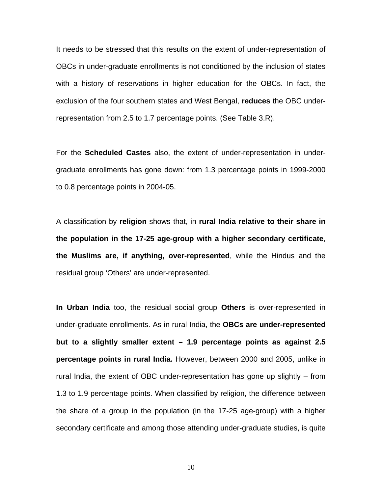It needs to be stressed that this results on the extent of under-representation of OBCs in under-graduate enrollments is not conditioned by the inclusion of states with a history of reservations in higher education for the OBCs. In fact, the exclusion of the four southern states and West Bengal, **reduces** the OBC underrepresentation from 2.5 to 1.7 percentage points. (See Table 3.R).

For the **Scheduled Castes** also, the extent of under-representation in undergraduate enrollments has gone down: from 1.3 percentage points in 1999-2000 to 0.8 percentage points in 2004-05.

A classification by **religion** shows that, in **rural India relative to their share in the population in the 17-25 age-group with a higher secondary certificate**, **the Muslims are, if anything, over-represented**, while the Hindus and the residual group 'Others' are under-represented.

**In Urban India** too, the residual social group **Others** is over-represented in under-graduate enrollments. As in rural India, the **OBCs are under-represented but to a slightly smaller extent – 1.9 percentage points as against 2.5 percentage points in rural India.** However, between 2000 and 2005, unlike in rural India, the extent of OBC under-representation has gone up slightly – from 1.3 to 1.9 percentage points. When classified by religion, the difference between the share of a group in the population (in the 17-25 age-group) with a higher secondary certificate and among those attending under-graduate studies, is quite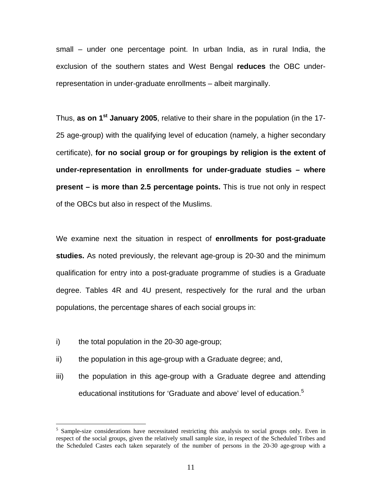small – under one percentage point. In urban India, as in rural India, the exclusion of the southern states and West Bengal **reduces** the OBC underrepresentation in under-graduate enrollments – albeit marginally.

Thus, **as on 1st January 2005**, relative to their share in the population (in the 17- 25 age-group) with the qualifying level of education (namely, a higher secondary certificate), **for no social group or for groupings by religion is the extent of under-representation in enrollments for under-graduate studies – where present – is more than 2.5 percentage points.** This is true not only in respect of the OBCs but also in respect of the Muslims.

We examine next the situation in respect of **enrollments for post-graduate studies.** As noted previously, the relevant age-group is 20-30 and the minimum qualification for entry into a post-graduate programme of studies is a Graduate degree. Tables 4R and 4U present, respectively for the rural and the urban populations, the percentage shares of each social groups in:

i) the total population in the 20-30 age-group;

 $\overline{a}$ 

- ii) the population in this age-group with a Graduate degree; and,
- iii) the population in this age-group with a Graduate degree and attending educational institutions for 'Graduate and above' level of education.[5](#page-11-0)

<span id="page-11-0"></span><sup>&</sup>lt;sup>5</sup> Sample-size considerations have necessitated restricting this analysis to social groups only. Even in respect of the social groups, given the relatively small sample size, in respect of the Scheduled Tribes and the Scheduled Castes each taken separately of the number of persons in the 20-30 age-group with a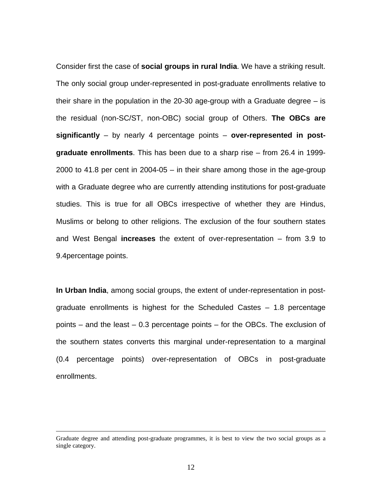Consider first the case of **social groups in rural India**. We have a striking result. The only social group under-represented in post-graduate enrollments relative to their share in the population in the 20-30 age-group with a Graduate degree – is the residual (non-SC/ST, non-OBC) social group of Others. **The OBCs are significantly** – by nearly 4 percentage points – **over-represented in postgraduate enrollments**. This has been due to a sharp rise – from 26.4 in 1999- 2000 to 41.8 per cent in 2004-05 – in their share among those in the age-group with a Graduate degree who are currently attending institutions for post-graduate studies. This is true for all OBCs irrespective of whether they are Hindus, Muslims or belong to other religions. The exclusion of the four southern states and West Bengal **increases** the extent of over-representation – from 3.9 to 9.4percentage points.

**In Urban India**, among social groups, the extent of under-representation in postgraduate enrollments is highest for the Scheduled Castes – 1.8 percentage points – and the least – 0.3 percentage points – for the OBCs. The exclusion of the southern states converts this marginal under-representation to a marginal (0.4 percentage points) over-representation of OBCs in post-graduate enrollments.

Graduate degree and attending post-graduate programmes, it is best to view the two social groups as a single category.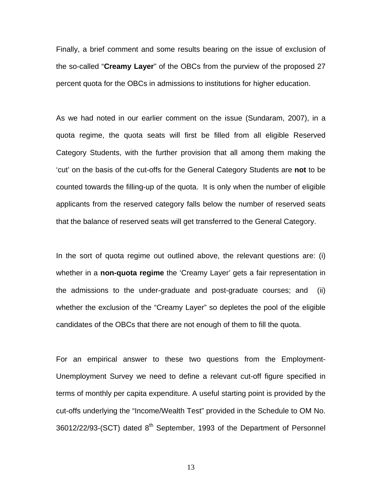Finally, a brief comment and some results bearing on the issue of exclusion of the so-called "**Creamy Layer**" of the OBCs from the purview of the proposed 27 percent quota for the OBCs in admissions to institutions for higher education.

As we had noted in our earlier comment on the issue (Sundaram, 2007), in a quota regime, the quota seats will first be filled from all eligible Reserved Category Students, with the further provision that all among them making the 'cut' on the basis of the cut-offs for the General Category Students are **not** to be counted towards the filling-up of the quota. It is only when the number of eligible applicants from the reserved category falls below the number of reserved seats that the balance of reserved seats will get transferred to the General Category.

In the sort of quota regime out outlined above, the relevant questions are: (i) whether in a **non-quota regime** the 'Creamy Layer' gets a fair representation in the admissions to the under-graduate and post-graduate courses; and (ii) whether the exclusion of the "Creamy Layer" so depletes the pool of the eligible candidates of the OBCs that there are not enough of them to fill the quota.

For an empirical answer to these two questions from the Employment-Unemployment Survey we need to define a relevant cut-off figure specified in terms of monthly per capita expenditure. A useful starting point is provided by the cut-offs underlying the "Income/Wealth Test" provided in the Schedule to OM No. 36012/22/93-(SCT) dated 8<sup>th</sup> September, 1993 of the Department of Personnel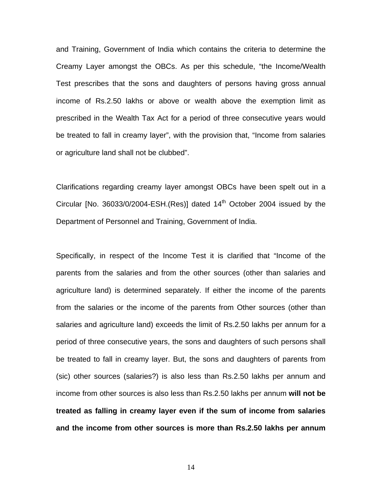and Training, Government of India which contains the criteria to determine the Creamy Layer amongst the OBCs. As per this schedule, "the Income/Wealth Test prescribes that the sons and daughters of persons having gross annual income of Rs.2.50 lakhs or above or wealth above the exemption limit as prescribed in the Wealth Tax Act for a period of three consecutive years would be treated to fall in creamy layer", with the provision that, "Income from salaries or agriculture land shall not be clubbed".

Clarifications regarding creamy layer amongst OBCs have been spelt out in a Circular [No. 36033/0/2004-ESH.(Res)] dated  $14<sup>th</sup>$  October 2004 issued by the Department of Personnel and Training, Government of India.

Specifically, in respect of the Income Test it is clarified that "Income of the parents from the salaries and from the other sources (other than salaries and agriculture land) is determined separately. If either the income of the parents from the salaries or the income of the parents from Other sources (other than salaries and agriculture land) exceeds the limit of Rs.2.50 lakhs per annum for a period of three consecutive years, the sons and daughters of such persons shall be treated to fall in creamy layer. But, the sons and daughters of parents from (sic) other sources (salaries?) is also less than Rs.2.50 lakhs per annum and income from other sources is also less than Rs.2.50 lakhs per annum **will not be treated as falling in creamy layer even if the sum of income from salaries and the income from other sources is more than Rs.2.50 lakhs per annum**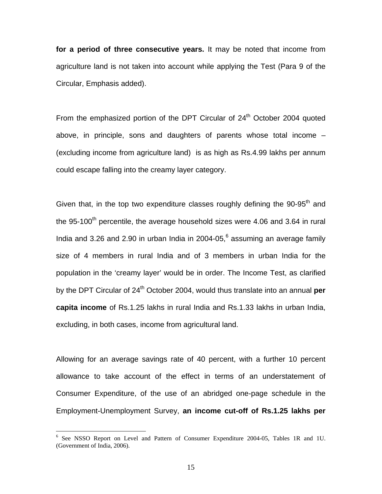**for a period of three consecutive years.** It may be noted that income from agriculture land is not taken into account while applying the Test (Para 9 of the Circular, Emphasis added).

From the emphasized portion of the DPT Circular of  $24<sup>th</sup>$  October 2004 quoted above, in principle, sons and daughters of parents whose total income – (excluding income from agriculture land) is as high as Rs.4.99 lakhs per annum could escape falling into the creamy layer category.

Given that, in the top two expenditure classes roughly defining the  $90-95<sup>th</sup>$  and the 95-100<sup>th</sup> percentile, the average household sizes were 4.06 and 3.64 in rural India and 3.2[6](#page-15-0) and 2.90 in urban India in 2004-05, $^6$  assuming an average family size of 4 members in rural India and of 3 members in urban India for the population in the 'creamy layer' would be in order. The Income Test, as clarified by the DPT Circular of 24<sup>th</sup> October 2004, would thus translate into an annual per **capita income** of Rs.1.25 lakhs in rural India and Rs.1.33 lakhs in urban India, excluding, in both cases, income from agricultural land.

Allowing for an average savings rate of 40 percent, with a further 10 percent allowance to take account of the effect in terms of an understatement of Consumer Expenditure, of the use of an abridged one-page schedule in the Employment-Unemployment Survey, **an income cut-off of Rs.1.25 lakhs per**

<span id="page-15-0"></span><sup>&</sup>lt;sup>6</sup> See NSSO Report on Level and Pattern of Consumer Expenditure 2004-05, Tables 1R and 1U. (Government of India, 2006).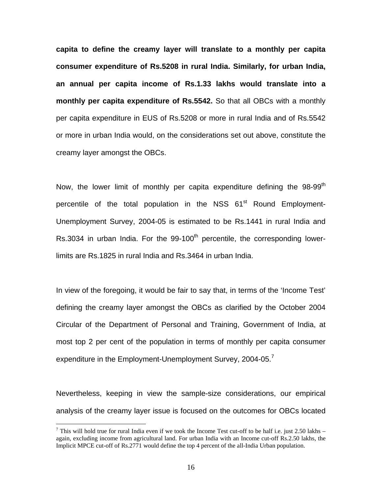**capita to define the creamy layer will translate to a monthly per capita consumer expenditure of Rs.5208 in rural India. Similarly, for urban India, an annual per capita income of Rs.1.33 lakhs would translate into a monthly per capita expenditure of Rs.5542.** So that all OBCs with a monthly per capita expenditure in EUS of Rs.5208 or more in rural India and of Rs.5542 or more in urban India would, on the considerations set out above, constitute the creamy layer amongst the OBCs.

Now, the lower limit of monthly per capita expenditure defining the  $98-99<sup>th</sup>$ percentile of the total population in the NSS 61<sup>st</sup> Round Employment-Unemployment Survey, 2004-05 is estimated to be Rs.1441 in rural India and Rs.3034 in urban India. For the  $99-100<sup>th</sup>$  percentile, the corresponding lowerlimits are Rs.1825 in rural India and Rs.3464 in urban India.

In view of the foregoing, it would be fair to say that, in terms of the 'Income Test' defining the creamy layer amongst the OBCs as clarified by the October 2004 Circular of the Department of Personal and Training, Government of India, at most top 2 per cent of the population in terms of monthly per capita consumer expenditure in the Employment-Unemployment Survey, 2004-05.<sup>[7](#page-16-0)</sup>

Nevertheless, keeping in view the sample-size considerations, our empirical analysis of the creamy layer issue is focused on the outcomes for OBCs located

 $\overline{a}$ 

<span id="page-16-0"></span><sup>&</sup>lt;sup>7</sup> This will hold true for rural India even if we took the Income Test cut-off to be half i.e. just 2.50 lakhs – again, excluding income from agricultural land. For urban India with an Income cut-off Rs.2.50 lakhs, the Implicit MPCE cut-off of Rs.2771 would define the top 4 percent of the all-India Urban population.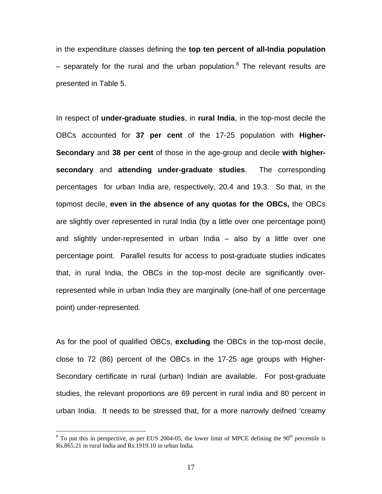in the expenditure classes defining the **top ten percent of all-India population**  $-$  separately for the rural and the urban population.<sup>[8](#page-17-0)</sup> The relevant results are presented in Table 5.

In respect of **under-graduate studies**, in **rural India**, in the top-most decile the OBCs accounted for **37 per cent** of the 17-25 population with **Higher-Secondary** and **38 per cent** of those in the age-group and decile **with highersecondary** and **attending under-graduate studies**. The corresponding percentages for urban India are, respectively, 20.4 and 19.3. So that, in the topmost decile, **even in the absence of any quotas for the OBCs,** the OBCs are slightly over represented in rural India (by a little over one percentage point) and slightly under-represented in urban India – also by a little over one percentage point. Parallel results for access to post-graduate studies indicates that, in rural India, the OBCs in the top-most decile are significantly overrepresented while in urban India they are marginally (one-half of one percentage point) under-represented.

As for the pool of qualified OBCs, **excluding** the OBCs in the top-most decile, close to 72 (86) percent of the OBCs in the 17-25 age groups with Higher-Secondary certificate in rural (urban) Indian are available. For post-graduate studies, the relevant proportions are 69 percent in rural india and 80 percent in urban India. It needs to be stressed that, for a more narrowly deifned 'creamy

<span id="page-17-0"></span> $8$  To put this in perspective, as per EUS 2004-05, the lower limit of MPCE defining the  $90<sup>th</sup>$  percentile is Rs.865.21 in rural India and Rs.1919.10 in urban India.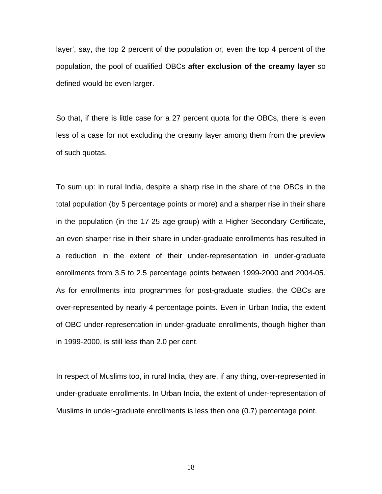layer', say, the top 2 percent of the population or, even the top 4 percent of the population, the pool of qualified OBCs **after exclusion of the creamy layer** so defined would be even larger.

So that, if there is little case for a 27 percent quota for the OBCs, there is even less of a case for not excluding the creamy layer among them from the preview of such quotas.

To sum up: in rural India, despite a sharp rise in the share of the OBCs in the total population (by 5 percentage points or more) and a sharper rise in their share in the population (in the 17-25 age-group) with a Higher Secondary Certificate, an even sharper rise in their share in under-graduate enrollments has resulted in a reduction in the extent of their under-representation in under-graduate enrollments from 3.5 to 2.5 percentage points between 1999-2000 and 2004-05. As for enrollments into programmes for post-graduate studies, the OBCs are over-represented by nearly 4 percentage points. Even in Urban India, the extent of OBC under-representation in under-graduate enrollments, though higher than in 1999-2000, is still less than 2.0 per cent.

In respect of Muslims too, in rural India, they are, if any thing, over-represented in under-graduate enrollments. In Urban India, the extent of under-representation of Muslims in under-graduate enrollments is less then one (0.7) percentage point.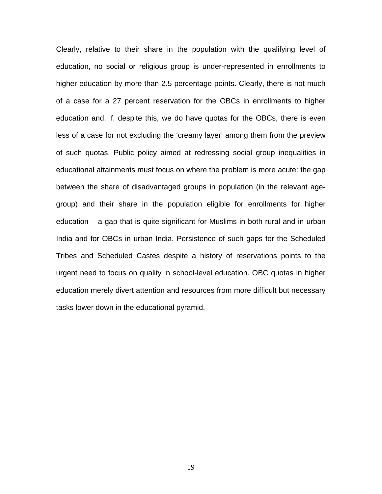Clearly, relative to their share in the population with the qualifying level of education, no social or religious group is under-represented in enrollments to higher education by more than 2.5 percentage points. Clearly, there is not much of a case for a 27 percent reservation for the OBCs in enrollments to higher education and, if, despite this, we do have quotas for the OBCs, there is even less of a case for not excluding the 'creamy layer' among them from the preview of such quotas. Public policy aimed at redressing social group inequalities in educational attainments must focus on where the problem is more acute: the gap between the share of disadvantaged groups in population (in the relevant agegroup) and their share in the population eligible for enrollments for higher education – a gap that is quite significant for Muslims in both rural and in urban India and for OBCs in urban India. Persistence of such gaps for the Scheduled Tribes and Scheduled Castes despite a history of reservations points to the urgent need to focus on quality in school-level education. OBC quotas in higher education merely divert attention and resources from more difficult but necessary tasks lower down in the educational pyramid.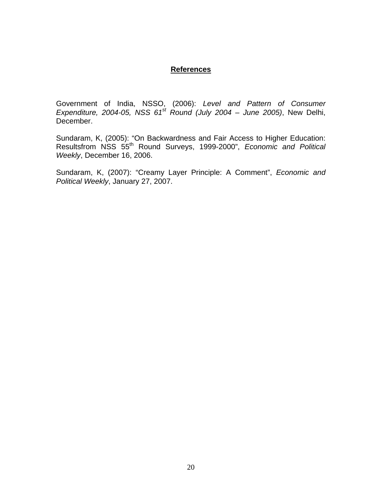## **References**

Government of India, NSSO, (2006): *Level and Pattern of Consumer Expenditure, 2004-05, NSS 61st Round (July 2004 – June 2005)*, New Delhi, December.

Sundaram, K, (2005): "On Backwardness and Fair Access to Higher Education: Resultsfrom NSS 55th Round Surveys, 1999-2000", *Economic and Political Weekly*, December 16, 2006.

Sundaram, K, (2007): "Creamy Layer Principle: A Comment", *Economic and Political Weekly*, January 27, 2007.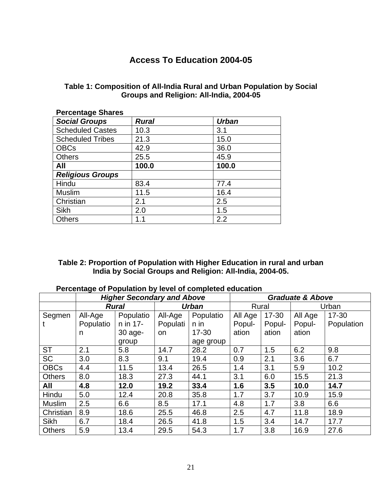# **Access To Education 2004-05**

## **Table 1: Composition of All-India Rural and Urban Population by Social Groups and Religion: All-India, 2004-05**

| <b>Percentage Shares</b> |              |              |  |  |  |
|--------------------------|--------------|--------------|--|--|--|
| <b>Social Groups</b>     | <b>Rural</b> | <b>Urban</b> |  |  |  |
| <b>Scheduled Castes</b>  | 10.3         | 3.1          |  |  |  |
| <b>Scheduled Tribes</b>  | 21.3         | 15.0         |  |  |  |
| <b>OBCs</b>              | 42.9         | 36.0         |  |  |  |
| <b>Others</b>            | 25.5         | 45.9         |  |  |  |
| All                      | 100.0        | 100.0        |  |  |  |
| <b>Religious Groups</b>  |              |              |  |  |  |
| Hindu                    | 83.4         | 77.4         |  |  |  |
| <b>Muslim</b>            | 11.5         | 16.4         |  |  |  |
| Christian                | 2.1          | 2.5          |  |  |  |
| Sikh                     | 2.0          | 1.5          |  |  |  |
| <b>Others</b>            | 1.1          | 2.2          |  |  |  |

### **Table 2: Proportion of Population with Higher Education in rural and urban India by Social Groups and Religion: All-India, 2004-05.**

| Percentage of Population by level of completed education |  |  |  |  |  |
|----------------------------------------------------------|--|--|--|--|--|
|----------------------------------------------------------|--|--|--|--|--|

|               | <b>Higher Secondary and Above</b> |              |              | <b>Graduate &amp; Above</b> |         |           |         |            |
|---------------|-----------------------------------|--------------|--------------|-----------------------------|---------|-----------|---------|------------|
|               |                                   | <b>Rural</b> | <b>Urban</b> |                             | Rural   |           | Urban   |            |
| Segmen        | All-Age                           | Populatio    | All-Age      | Populatio                   | All Age | $17 - 30$ | All Age | 17-30      |
|               | Populatio                         | n in 17-     | Populati     | n in                        | Popul-  | Popul-    | Popul-  | Population |
|               | n                                 | 30 age-      | <b>on</b>    | $17 - 30$                   | ation   | ation     | ation   |            |
|               |                                   | group        |              | age group                   |         |           |         |            |
| <b>ST</b>     | 2.1                               | 5.8          | 14.7         | 28.2                        | 0.7     | 1.5       | 6.2     | 9.8        |
| <b>SC</b>     | 3.0                               | 8.3          | 9.1          | 19.4                        | 0.9     | 2.1       | 3.6     | 6.7        |
| <b>OBCs</b>   | 4.4                               | 11.5         | 13.4         | 26.5                        | 1.4     | 3.1       | 5.9     | 10.2       |
| <b>Others</b> | 8.0                               | 18.3         | 27.3         | 44.1                        | 3.1     | 6.0       | 15.5    | 21.3       |
| All           | 4.8                               | 12.0         | 19.2         | 33.4                        | 1.6     | 3.5       | 10.0    | 14.7       |
| Hindu         | 5.0                               | 12.4         | 20.8         | 35.8                        | 1.7     | 3.7       | 10.9    | 15.9       |
| <b>Muslim</b> | 2.5                               | 6.6          | 8.5          | 17.1                        | 4.8     | 1.7       | 3.8     | 6.6        |
| Christian     | 8.9                               | 18.6         | 25.5         | 46.8                        | 2.5     | 4.7       | 11.8    | 18.9       |
| Sikh          | 6.7                               | 18.4         | 26.5         | 41.8                        | 1.5     | 3.4       | 14.7    | 17.7       |
| <b>Others</b> | 5.9                               | 13.4         | 29.5         | 54.3                        | 1.7     | 3.8       | 16.9    | 27.6       |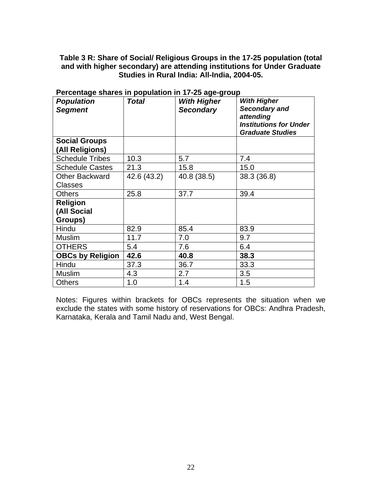**Table 3 R: Share of Social/ Religious Groups in the 17-25 population (total and with higher secondary) are attending institutions for Under Graduate Studies in Rural India: All-India, 2004-05.** 

| <b>Population</b><br><b>Segment</b>     | <b>Total</b> | <b>With Higher</b><br><b>Secondary</b> | <b>With Higher</b><br>Secondary and<br>attending<br><b>Institutions for Under</b><br><b>Graduate Studies</b> |
|-----------------------------------------|--------------|----------------------------------------|--------------------------------------------------------------------------------------------------------------|
| <b>Social Groups</b><br>(All Religions) |              |                                        |                                                                                                              |
| <b>Schedule Tribes</b>                  | 10.3         | 5.7                                    | 7.4                                                                                                          |
| <b>Schedule Castes</b>                  | 21.3         | 15.8                                   | 15.0                                                                                                         |
| <b>Other Backward</b>                   | 42.6 (43.2)  | 40.8 (38.5)                            | 38.3 (36.8)                                                                                                  |
| <b>Classes</b>                          |              |                                        |                                                                                                              |
| <b>Others</b>                           | 25.8         | 37.7                                   | 39.4                                                                                                         |
| <b>Religion</b>                         |              |                                        |                                                                                                              |
| (All Social                             |              |                                        |                                                                                                              |
| Groups)                                 |              |                                        |                                                                                                              |
| Hindu                                   | 82.9         | 85.4                                   | 83.9                                                                                                         |
| <b>Muslim</b>                           | 11.7         | 7.0                                    | 9.7                                                                                                          |
| <b>OTHERS</b>                           | 5.4          | 7.6                                    | 6.4                                                                                                          |
| <b>OBCs by Religion</b>                 | 42.6         | 40.8                                   | 38.3                                                                                                         |
| Hindu                                   | 37.3         | 36.7                                   | 33.3                                                                                                         |
| <b>Muslim</b>                           | 4.3          | 2.7                                    | 3.5                                                                                                          |
| <b>Others</b>                           | 1.0          | 1.4                                    | 1.5                                                                                                          |

**Percentage shares in population in 17-25 age-group** 

Notes: Figures within brackets for OBCs represents the situation when we exclude the states with some history of reservations for OBCs: Andhra Pradesh, Karnataka, Kerala and Tamil Nadu and, West Bengal.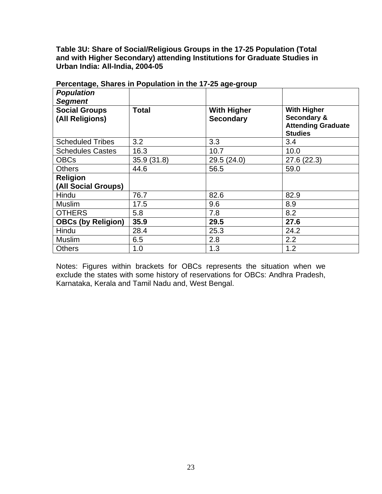**Table 3U: Share of Social/Religious Groups in the 17-25 Population (Total and with Higher Secondary) attending Institutions for Graduate Studies in Urban India: All-India, 2004-05** 

| <b>Population</b>                      |              |                    |                                                            |
|----------------------------------------|--------------|--------------------|------------------------------------------------------------|
| <b>Segment</b><br><b>Social Groups</b> | <b>Total</b> | <b>With Higher</b> | <b>With Higher</b>                                         |
| (All Religions)                        |              | <b>Secondary</b>   | Secondary &<br><b>Attending Graduate</b><br><b>Studies</b> |
| <b>Scheduled Tribes</b>                | 3.2          | 3.3                | 3.4                                                        |
| <b>Schedules Castes</b>                | 16.3         | 10.7               | 10.0                                                       |
| <b>OBCs</b>                            | 35.9 (31.8)  | 29.5(24.0)         | 27.6 (22.3)                                                |
| <b>Others</b>                          | 44.6         | 56.5               | 59.0                                                       |
| <b>Religion</b>                        |              |                    |                                                            |
| (All Social Groups)                    |              |                    |                                                            |
| Hindu                                  | 76.7         | 82.6               | 82.9                                                       |
| <b>Muslim</b>                          | 17.5         | 9.6                | 8.9                                                        |
| <b>OTHERS</b>                          | 5.8          | 7.8                | 8.2                                                        |
| <b>OBCs (by Religion)</b>              | 35.9         | 29.5               | 27.6                                                       |
| Hindu                                  | 28.4         | 25.3               | 24.2                                                       |
| Muslim                                 | 6.5          | 2.8                | 2.2                                                        |
| <b>Others</b>                          | 1.0          | 1.3                | 1.2                                                        |

**Percentage, Shares in Population in the 17-25 age-group** 

Notes: Figures within brackets for OBCs represents the situation when we exclude the states with some history of reservations for OBCs: Andhra Pradesh, Karnataka, Kerala and Tamil Nadu and, West Bengal.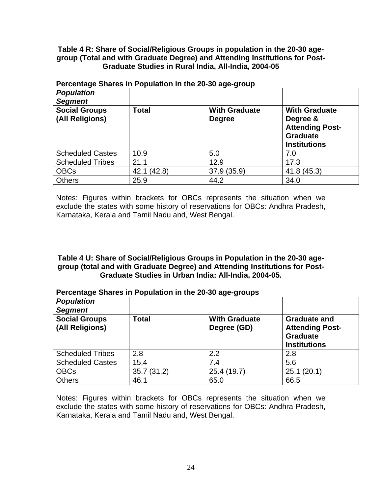**Table 4 R: Share of Social/Religious Groups in population in the 20-30 agegroup (Total and with Graduate Degree) and Attending Institutions for Post-Graduate Studies in Rural India, All-India, 2004-05** 

| <b>Population</b><br><b>Segment</b><br><b>Social Groups</b><br>(All Religions) | <b>Total</b> | <b>With Graduate</b><br><b>Degree</b> | <b>With Graduate</b><br>Degree &<br><b>Attending Post-</b><br><b>Graduate</b><br><b>Institutions</b> |
|--------------------------------------------------------------------------------|--------------|---------------------------------------|------------------------------------------------------------------------------------------------------|
| <b>Scheduled Castes</b>                                                        | 10.9         | 5.0                                   | 7.0                                                                                                  |
| <b>Scheduled Tribes</b>                                                        | 21.1         | 12.9                                  | 17.3                                                                                                 |
| <b>OBCs</b>                                                                    | 42.1 (42.8)  | 37.9 (35.9)                           | 41.8 (45.3)                                                                                          |
| <b>Others</b>                                                                  | 25.9         | 44.2                                  | 34.0                                                                                                 |

**Percentage Shares in Population in the 20-30 age-group** 

Notes: Figures within brackets for OBCs represents the situation when we exclude the states with some history of reservations for OBCs: Andhra Pradesh, Karnataka, Kerala and Tamil Nadu and, West Bengal.

### **Table 4 U: Share of Social/Religious Groups in Population in the 20-30 agegroup (total and with Graduate Degree) and Attending Institutions for Post-Graduate Studies in Urban India: All-India, 2004-05.**

| <b>Population</b><br><b>Segment</b>     |              |                                     |                                                                                         |
|-----------------------------------------|--------------|-------------------------------------|-----------------------------------------------------------------------------------------|
| <b>Social Groups</b><br>(All Religions) | <b>Total</b> | <b>With Graduate</b><br>Degree (GD) | <b>Graduate and</b><br><b>Attending Post-</b><br><b>Graduate</b><br><b>Institutions</b> |
| <b>Scheduled Tribes</b>                 | 2.8          | 2.2                                 | 2.8                                                                                     |
| <b>Scheduled Castes</b>                 | 15.4         | 7.4                                 | 5.6                                                                                     |
| <b>OBCs</b>                             | 35.7 (31.2)  | 25.4 (19.7)                         | 25.1(20.1)                                                                              |
|                                         |              |                                     |                                                                                         |

### **Percentage Shares in Population in the 20-30 age-groups**

Notes: Figures within brackets for OBCs represents the situation when we exclude the states with some history of reservations for OBCs: Andhra Pradesh, Karnataka, Kerala and Tamil Nadu and, West Bengal.